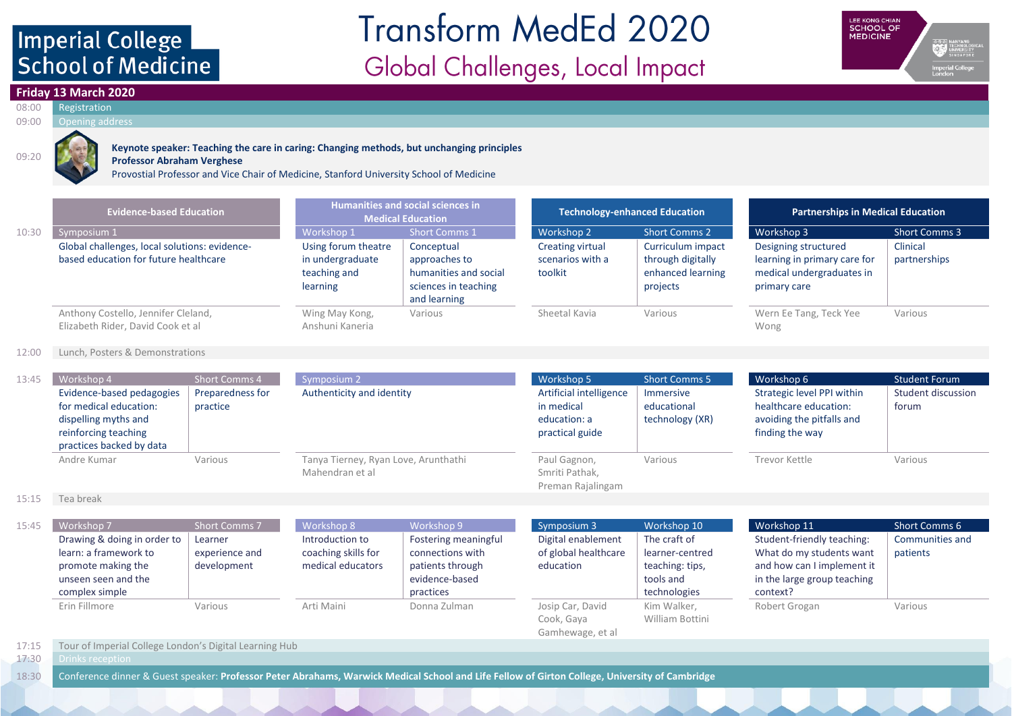## Imperial College **School of Medicine**

# **Transform MedEd 2020** Global Challenges, Local Impact



### **Friday 13 March 2020**

#### 08:00 Registration 09:00 Opening address



### **Keynote speaker: Teaching the care in caring: Changing methods, but unchanging principles**

**Professor Abraham Verghese** Provostial Professor and Vice Chair of Medicine, Stanford University School of Medicine

|       | <b>Evidence-based Education</b>                                                        | Humanities and social sciences in<br><b>Medical Education</b>       |                                                                                              | <b>Technology-enhanced Education</b>                   |                                                                         | <b>Partnerships in Medical Education</b>                                                          |                          |
|-------|----------------------------------------------------------------------------------------|---------------------------------------------------------------------|----------------------------------------------------------------------------------------------|--------------------------------------------------------|-------------------------------------------------------------------------|---------------------------------------------------------------------------------------------------|--------------------------|
| 10:30 | Symposium 1                                                                            | Workshop 1                                                          | <b>Short Comms 1</b>                                                                         | Workshop 2                                             | <b>Short Comms 2</b>                                                    | Workshop 3                                                                                        | <b>Short Comms 3</b>     |
|       | Global challenges, local solutions: evidence-<br>based education for future healthcare | Using forum theatre<br>in undergraduate<br>teaching and<br>learning | Conceptual<br>approaches to<br>humanities and social<br>sciences in teaching<br>and learning | <b>Creating virtual</b><br>scenarios with a<br>toolkit | Curriculum impact<br>through digitally<br>enhanced learning<br>projects | Designing structured<br>learning in primary care for<br>medical undergraduates in<br>primary care | Clinical<br>partnerships |
|       | Anthony Costello, Jennifer Cleland,<br>Elizabeth Rider, David Cook et al               | Wing May Kong,<br>Anshuni Kaneria                                   | Various                                                                                      | Sheetal Kavia                                          | Various                                                                 | Wern Ee Tang, Teck Yee<br>Wong                                                                    | Various                  |

### 12:00 Lunch, Posters & Demonstrations

| 13:45 | Workshop 4                                                                                                                      | <b>Short Comms 4</b>         | Symposium 2                                             | Workshop 5                                                               | <b>Short Comms 5</b>                        | Workshop 6                                                                                          | <b>Student Forum</b>        |
|-------|---------------------------------------------------------------------------------------------------------------------------------|------------------------------|---------------------------------------------------------|--------------------------------------------------------------------------|---------------------------------------------|-----------------------------------------------------------------------------------------------------|-----------------------------|
|       | Evidence-based pedagogies<br>for medical education:<br>dispelling myths and<br>reinforcing teaching<br>practices backed by data | Preparedness for<br>practice | Authenticity and identity                               | Artificial intelligence<br>in medical<br>education: a<br>practical guide | Immersive<br>educational<br>technology (XR) | Strategic level PPI within<br>healthcare education:<br>avoiding the pitfalls and<br>finding the way | Student discussion<br>forum |
|       | Andre Kumar                                                                                                                     | Various                      | Tanya Tierney, Ryan Love, Arunthathi<br>Mahendran et al | Paul Gagnon,<br>Smriti Pathak,<br>Preman Rajalingam                      | Various                                     | Trevor Kettle                                                                                       | Various                     |

#### 15:15 Tea break

| 15:45 | Workshop 7<br>Drawing & doing in order to<br>learn: a framework to<br>promote making the<br>unseen seen and the | <b>Short Comms 7</b><br>Learner<br>experience and<br>development | Workshop 8<br>Introduction to<br>coaching skills for<br>medical educators | Workshop 9<br>Fostering meaningful<br>connections with<br>patients through<br>evidence-based | Symposium 3<br>Digital enablement<br>of global healthcare<br>education | Workshop 10<br>The craft of<br>learner-centred<br>teaching: tips,<br>tools and | Workshop 11<br>Student-friendly teaching:<br>What do my students want<br>and how can I implement it<br>in the large group teaching | Short Comms 6<br>Communities and<br>patients |
|-------|-----------------------------------------------------------------------------------------------------------------|------------------------------------------------------------------|---------------------------------------------------------------------------|----------------------------------------------------------------------------------------------|------------------------------------------------------------------------|--------------------------------------------------------------------------------|------------------------------------------------------------------------------------------------------------------------------------|----------------------------------------------|
|       | complex simple                                                                                                  |                                                                  |                                                                           | practices                                                                                    |                                                                        | technologies                                                                   | context?                                                                                                                           |                                              |
|       | Erin Fillmore                                                                                                   | Various                                                          | Arti Maini                                                                | Donna Zulman                                                                                 | Josip Car, David<br>Cook, Gaya<br>Gamhewage, et al                     | Kim Walker,<br>William Bottini                                                 | Robert Grogan                                                                                                                      | Various                                      |

### 17:15 Tour of Imperial College London's Digital Learning Hub

17:30 Drinks reception

18:30 Conference dinner & Guest speaker: **Professor Peter Abrahams, Warwick Medical School and Life Fellow of Girton College, University of Cambridge**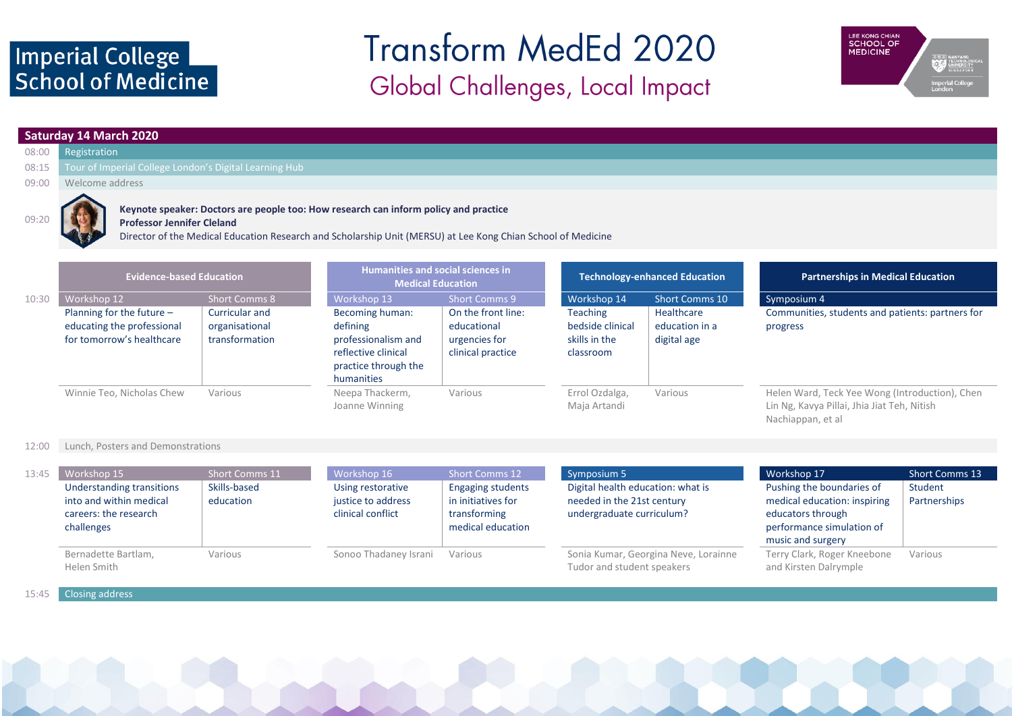### Imperial College School of Medicine

## **Transform MedEd 2020** Global Challenges, Local Impact



### **Saturday 14 March 2020**

- 08:00 Registration
- 08:15 Tour of Imperial College London's Digital Learning Hub
- 09:00 Welcome address



### **Keynote speaker: Doctors are people too: How research can inform policy and practice**

**Professor Jennifer Cleland**

Director of the Medical Education Research and Scholarship Unit (MERSU) at Lee Kong Chian School of Medicine

|       | <b>Evidence-based Education</b>                                                        |                                                    | Humanities and social sciences in<br><b>Medical Education</b>                                                   |                                                                         | <b>Technology-enhanced Education</b>                       |                                             | <b>Partnerships in Medical Education</b>                                                                           |  |
|-------|----------------------------------------------------------------------------------------|----------------------------------------------------|-----------------------------------------------------------------------------------------------------------------|-------------------------------------------------------------------------|------------------------------------------------------------|---------------------------------------------|--------------------------------------------------------------------------------------------------------------------|--|
| 10:30 | Workshop 12                                                                            | <b>Short Comms 8</b>                               | Workshop 13                                                                                                     | Short Comms 9                                                           | Workshop 14                                                | Short Comms 10                              | Symposium 4                                                                                                        |  |
|       | Planning for the future $-$<br>educating the professional<br>for tomorrow's healthcare | Curricular and<br>organisational<br>transformation | Becoming human:<br>defining<br>professionalism and<br>reflective clinical<br>practice through the<br>humanities | On the front line:<br>educational<br>urgencies for<br>clinical practice | Teaching<br>bedside clinical<br>skills in the<br>classroom | Healthcare<br>education in a<br>digital age | Communities, students and patients: partners for<br>progress                                                       |  |
|       | Winnie Teo, Nicholas Chew                                                              | Various                                            | Neepa Thackerm,<br>Joanne Winning                                                                               | Various                                                                 | Errol Ozdalga,<br>Maja Artandi                             | Various                                     | Helen Ward, Teck Yee Wong (Introduction), Chen<br>Lin Ng, Kavya Pillai, Jhia Jiat Teh, Nitish<br>Nachiappan, et al |  |

#### 12:00 Lunch, Posters and Demonstrations

| 13:45 | Workshop 15                                                                                 | <b>Short Comms 11</b>     | Workshop 16                                                  | Short Comms 12                                                                      | Symposium 5                                                                                  | Workshop 17                                                                                                                      | <b>Short Comms 13</b>   |
|-------|---------------------------------------------------------------------------------------------|---------------------------|--------------------------------------------------------------|-------------------------------------------------------------------------------------|----------------------------------------------------------------------------------------------|----------------------------------------------------------------------------------------------------------------------------------|-------------------------|
|       | Understanding transitions<br>into and within medical<br>careers: the research<br>challenges | Skills-based<br>education | Using restorative<br>justice to address<br>clinical conflict | <b>Engaging students</b><br>in initiatives for<br>transforming<br>medical education | Digital health education: what is<br>needed in the 21st century<br>undergraduate curriculum? | Pushing the boundaries of<br>medical education: inspiring<br>educators through<br>performance simulation of<br>music and surgery | Student<br>Partnerships |
|       | Bernadette Bartlam,<br>Helen Smith                                                          | Various                   | Sonoo Thadaney Israni                                        | Various                                                                             | Sonia Kumar, Georgina Neve, Lorainne<br>Tudor and student speakers                           | Terry Clark, Roger Kneebone<br>and Kirsten Dalrymple                                                                             | Various                 |

### 15:45 Closing address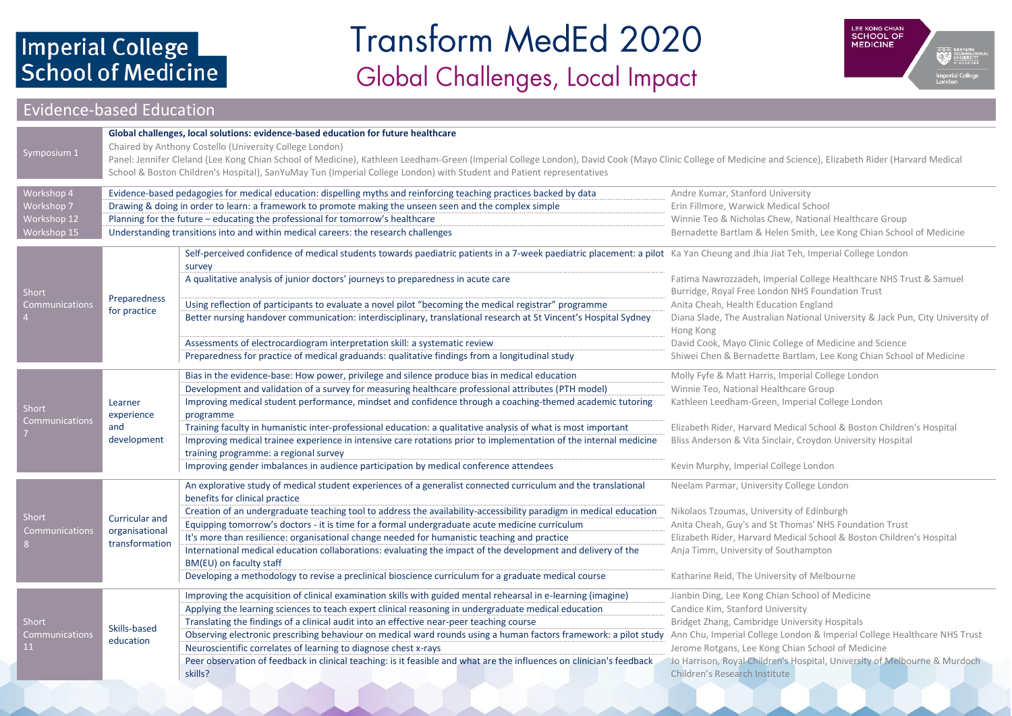# Imperial College<br>School of Medicine

## **Transform MedEd 2020** Global Challenges, Local Impact



### Evidence-based Education

| Symposium 1                                            | Global challenges, local solutions: evidence-based education for future healthcare<br>Chaired by Anthony Costello (University College London)<br>Panel: Jennifer Cleland (Lee Kong Chian School of Medicine), Kathleen Leedham-Green (Imperial College London), David Cook (Mayo Clinic College of Medicine and Science), Elizabeth Rider (Harvard Medical<br>School & Boston Children's Hospital), SanYuMay Tun (Imperial College London) with Student and Patient representatives                                                                                                                                                                                                                                     |                                                                                                                                                                                                                                                                                                                                                                                                                                                                                                                                                                                                                                                                                                                             |                                                                                                                                                                                                                                                                                                                                                                                                  |  |  |  |  |
|--------------------------------------------------------|-------------------------------------------------------------------------------------------------------------------------------------------------------------------------------------------------------------------------------------------------------------------------------------------------------------------------------------------------------------------------------------------------------------------------------------------------------------------------------------------------------------------------------------------------------------------------------------------------------------------------------------------------------------------------------------------------------------------------|-----------------------------------------------------------------------------------------------------------------------------------------------------------------------------------------------------------------------------------------------------------------------------------------------------------------------------------------------------------------------------------------------------------------------------------------------------------------------------------------------------------------------------------------------------------------------------------------------------------------------------------------------------------------------------------------------------------------------------|--------------------------------------------------------------------------------------------------------------------------------------------------------------------------------------------------------------------------------------------------------------------------------------------------------------------------------------------------------------------------------------------------|--|--|--|--|
| Workshop 4<br>Workshop 7<br>Workshop 12<br>Workshop 15 | Evidence-based pedagogies for medical education: dispelling myths and reinforcing teaching practices backed by data<br>Andre Kumar, Stanford University<br>Drawing & doing in order to learn: a framework to promote making the unseen seen and the complex simple<br>Erin Fillmore, Warwick Medical School<br>Planning for the future - educating the professional for tomorrow's healthcare<br>Winnie Teo & Nicholas Chew, National Healthcare Group<br>Understanding transitions into and within medical careers: the research challenges<br>Bernadette Bartlam & Helen Smith, Lee Kong Chian School of Medicine                                                                                                     |                                                                                                                                                                                                                                                                                                                                                                                                                                                                                                                                                                                                                                                                                                                             |                                                                                                                                                                                                                                                                                                                                                                                                  |  |  |  |  |
| Short<br>Communications                                | Self-perceived confidence of medical students towards paediatric patients in a 7-week paediatric placement: a pilot Ka Yan Cheung and Jhia Jiat Teh, Imperial College London<br>survey<br>A qualitative analysis of junior doctors' journeys to preparedness in acute care<br>Preparedness<br>Using reflection of participants to evaluate a novel pilot "becoming the medical registrar" programme<br>for practice<br>Better nursing handover communication: interdisciplinary, translational research at St Vincent's Hospital Sydney<br>Assessments of electrocardiogram interpretation skill: a systematic review<br>Preparedness for practice of medical graduands: qualitative findings from a longitudinal study |                                                                                                                                                                                                                                                                                                                                                                                                                                                                                                                                                                                                                                                                                                                             | Fatima Nawrozzadeh, Imperial College Healthcare NHS Trust & Samuel<br>Burridge, Royal Free London NHS Foundation Trust<br>Anita Cheah, Health Education England<br>Diana Slade, The Australian National University & Jack Pun, City University of<br>Hong Kong<br>David Cook, Mayo Clinic College of Medicine and Science<br>Shiwei Chen & Bernadette Bartlam, Lee Kong Chian School of Medicine |  |  |  |  |
| Short<br>Communications                                | Learner<br>experience<br>and<br>development                                                                                                                                                                                                                                                                                                                                                                                                                                                                                                                                                                                                                                                                             | Bias in the evidence-base: How power, privilege and silence produce bias in medical education<br>Development and validation of a survey for measuring healthcare professional attributes (PTH model)<br>Improving medical student performance, mindset and confidence through a coaching-themed academic tutoring<br>programme<br>Training faculty in humanistic inter-professional education: a qualitative analysis of what is most important<br>Improving medical trainee experience in intensive care rotations prior to implementation of the internal medicine<br>training programme: a regional survey<br>Improving gender imbalances in audience participation by medical conference attendees                      | Molly Fyfe & Matt Harris, Imperial College London<br>Winnie Teo, National Healthcare Group<br>Kathleen Leedham-Green, Imperial College London<br>Elizabeth Rider, Harvard Medical School & Boston Children's Hospital<br>Bliss Anderson & Vita Sinclair, Croydon University Hospital<br>Kevin Murphy, Imperial College London                                                                    |  |  |  |  |
| <b>Short</b><br>Communications                         | Curricular and<br>organisational<br>transformation                                                                                                                                                                                                                                                                                                                                                                                                                                                                                                                                                                                                                                                                      | An explorative study of medical student experiences of a generalist connected curriculum and the translational<br>benefits for clinical practice<br>Creation of an undergraduate teaching tool to address the availability-accessibility paradigm in medical education<br>Equipping tomorrow's doctors - it is time for a formal undergraduate acute medicine curriculum<br>It's more than resilience: organisational change needed for humanistic teaching and practice<br>International medical education collaborations: evaluating the impact of the development and delivery of the<br>BM(EU) on faculty staff<br>Developing a methodology to revise a preclinical bioscience curriculum for a graduate medical course | Neelam Parmar, University College London<br>Nikolaos Tzoumas, University of Edinburgh<br>Anita Cheah, Guy's and St Thomas' NHS Foundation Trust<br>Elizabeth Rider, Harvard Medical School & Boston Children's Hospital<br>Anja Timm, University of Southampton<br>Katharine Reid, The University of Melbourne                                                                                   |  |  |  |  |
| Short<br>Communications<br>11 <sup>1</sup>             | Skills-based<br>education                                                                                                                                                                                                                                                                                                                                                                                                                                                                                                                                                                                                                                                                                               | Improving the acquisition of clinical examination skills with guided mental rehearsal in e-learning (imagine)<br>Applying the learning sciences to teach expert clinical reasoning in undergraduate medical education<br>Translating the findings of a clinical audit into an effective near-peer teaching course<br>Observing electronic prescribing behaviour on medical ward rounds using a human factors framework: a pilot study Ann Chu, Imperial College London & Imperial College Healthcare NHS Trust<br>Neuroscientific correlates of learning to diagnose chest x-rays<br>Peer observation of feedback in clinical teaching: is it feasible and what are the influences on clinician's feedback<br>skills?       | Jianbin Ding, Lee Kong Chian School of Medicine<br>Candice Kim, Stanford University<br>Bridget Zhang, Cambridge University Hospitals<br>Jerome Rotgans, Lee Kong Chian School of Medicine<br>Jo Harrison, Royal Children's Hospital, University of Melbourne & Murdoch<br>Children's Research Institute                                                                                          |  |  |  |  |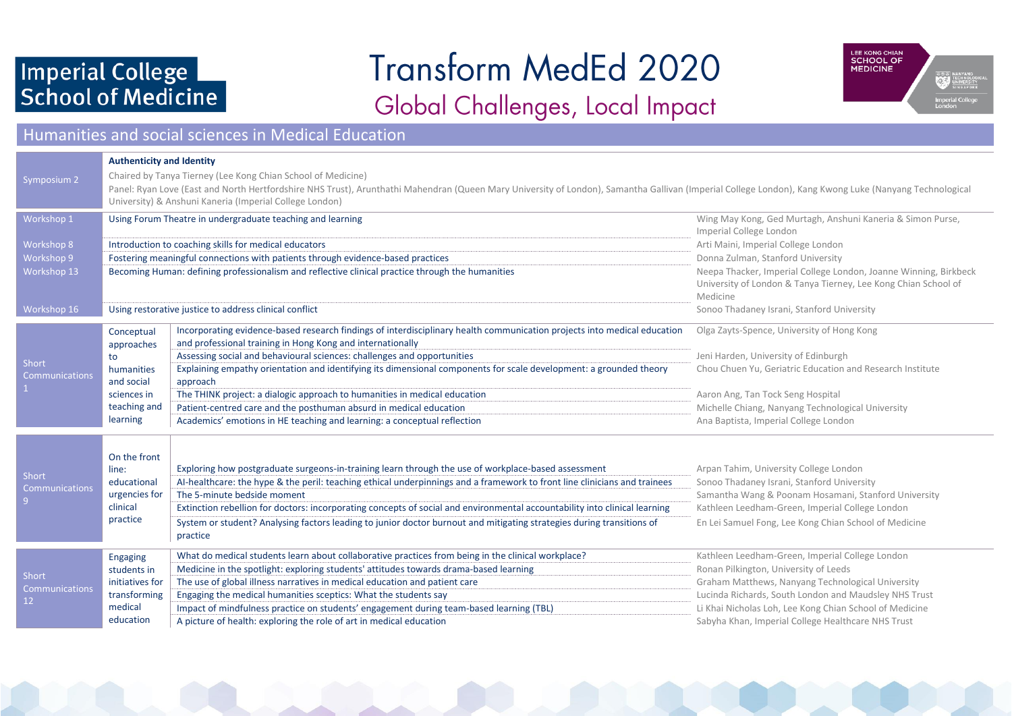## Imperial College School of Medicine

# **Transform MedEd 2020**

## Global Challenges, Local Impact



### Humanities and social sciences in Medical Education

|                          | <b>Authenticity and Identity</b>                            |                                                                                                                                                                                                        |                                                                                                               |  |  |  |  |  |  |
|--------------------------|-------------------------------------------------------------|--------------------------------------------------------------------------------------------------------------------------------------------------------------------------------------------------------|---------------------------------------------------------------------------------------------------------------|--|--|--|--|--|--|
| Symposium 2              |                                                             | Chaired by Tanya Tierney (Lee Kong Chian School of Medicine)                                                                                                                                           |                                                                                                               |  |  |  |  |  |  |
|                          |                                                             | Panel: Ryan Love (East and North Hertfordshire NHS Trust), Arunthathi Mahendran (Queen Mary University of London), Samantha Gallivan (Imperial College London), Kang Kwong Luke (Nanyang Technological |                                                                                                               |  |  |  |  |  |  |
|                          |                                                             | University) & Anshuni Kaneria (Imperial College London)                                                                                                                                                |                                                                                                               |  |  |  |  |  |  |
| Workshop 1               |                                                             | Using Forum Theatre in undergraduate teaching and learning                                                                                                                                             | Wing May Kong, Ged Murtagh, Anshuni Kaneria & Simon Purse,                                                    |  |  |  |  |  |  |
|                          |                                                             |                                                                                                                                                                                                        | Imperial College London                                                                                       |  |  |  |  |  |  |
| Workshop 8<br>Workshop 9 |                                                             | Introduction to coaching skills for medical educators<br>Fostering meaningful connections with patients through evidence-based practices                                                               | Arti Maini, Imperial College London<br>Donna Zulman, Stanford University                                      |  |  |  |  |  |  |
| Workshop 13              |                                                             | Becoming Human: defining professionalism and reflective clinical practice through the humanities                                                                                                       | Neepa Thacker, Imperial College London, Joanne Winning, Birkbeck                                              |  |  |  |  |  |  |
|                          |                                                             |                                                                                                                                                                                                        | University of London & Tanya Tierney, Lee Kong Chian School of                                                |  |  |  |  |  |  |
|                          |                                                             |                                                                                                                                                                                                        | Medicine                                                                                                      |  |  |  |  |  |  |
| Workshop 16              |                                                             | Using restorative justice to address clinical conflict                                                                                                                                                 | Sonoo Thadaney Israni, Stanford University                                                                    |  |  |  |  |  |  |
|                          | Conceptual                                                  | Incorporating evidence-based research findings of interdisciplinary health communication projects into medical education                                                                               | Olga Zayts-Spence, University of Hong Kong                                                                    |  |  |  |  |  |  |
|                          | approaches<br>to<br>humanities<br>and social<br>sciences in | and professional training in Hong Kong and internationally                                                                                                                                             |                                                                                                               |  |  |  |  |  |  |
| Short                    |                                                             | Assessing social and behavioural sciences: challenges and opportunities                                                                                                                                | Jeni Harden, University of Edinburgh                                                                          |  |  |  |  |  |  |
| Communications           |                                                             | Explaining empathy orientation and identifying its dimensional components for scale development: a grounded theory<br>approach                                                                         | Chou Chuen Yu, Geriatric Education and Research Institute                                                     |  |  |  |  |  |  |
|                          |                                                             | The THINK project: a dialogic approach to humanities in medical education                                                                                                                              | Aaron Ang, Tan Tock Seng Hospital                                                                             |  |  |  |  |  |  |
|                          | teaching and                                                | Patient-centred care and the posthuman absurd in medical education                                                                                                                                     | Michelle Chiang, Nanyang Technological University                                                             |  |  |  |  |  |  |
|                          | learning                                                    | Academics' emotions in HE teaching and learning: a conceptual reflection                                                                                                                               | Ana Baptista, Imperial College London                                                                         |  |  |  |  |  |  |
|                          |                                                             |                                                                                                                                                                                                        |                                                                                                               |  |  |  |  |  |  |
|                          | On the front                                                |                                                                                                                                                                                                        |                                                                                                               |  |  |  |  |  |  |
| Short                    | line:                                                       | Exploring how postgraduate surgeons-in-training learn through the use of workplace-based assessment                                                                                                    | Arpan Tahim, University College London                                                                        |  |  |  |  |  |  |
| Communications           | educational                                                 | Al-healthcare: the hype & the peril: teaching ethical underpinnings and a framework to front line clinicians and trainees                                                                              | Sonoo Thadaney Israni, Stanford University                                                                    |  |  |  |  |  |  |
|                          | urgencies for                                               | The 5-minute bedside moment                                                                                                                                                                            | Samantha Wang & Poonam Hosamani, Stanford University                                                          |  |  |  |  |  |  |
|                          | clinical<br>practice                                        | Extinction rebellion for doctors: incorporating concepts of social and environmental accountability into clinical learning                                                                             | Kathleen Leedham-Green, Imperial College London                                                               |  |  |  |  |  |  |
|                          |                                                             | System or student? Analysing factors leading to junior doctor burnout and mitigating strategies during transitions of<br>practice                                                                      | En Lei Samuel Fong, Lee Kong Chian School of Medicine                                                         |  |  |  |  |  |  |
|                          |                                                             |                                                                                                                                                                                                        |                                                                                                               |  |  |  |  |  |  |
|                          | Engaging                                                    | What do medical students learn about collaborative practices from being in the clinical workplace?                                                                                                     | Kathleen Leedham-Green, Imperial College London                                                               |  |  |  |  |  |  |
| Short                    | students in                                                 | Medicine in the spotlight: exploring students' attitudes towards drama-based learning                                                                                                                  | Ronan Pilkington, University of Leeds                                                                         |  |  |  |  |  |  |
| Communications           | initiatives for                                             | The use of global illness narratives in medical education and patient care                                                                                                                             | Graham Matthews, Nanyang Technological University                                                             |  |  |  |  |  |  |
| 12                       | transforming<br>medical                                     | Engaging the medical humanities sceptics: What the students say                                                                                                                                        | Lucinda Richards, South London and Maudsley NHS Trust                                                         |  |  |  |  |  |  |
|                          | education                                                   | Impact of mindfulness practice on students' engagement during team-based learning (TBL)<br>A picture of health: exploring the role of art in medical education                                         | Li Khai Nicholas Loh, Lee Kong Chian School of Medicine<br>Sabyha Khan, Imperial College Healthcare NHS Trust |  |  |  |  |  |  |
|                          |                                                             |                                                                                                                                                                                                        |                                                                                                               |  |  |  |  |  |  |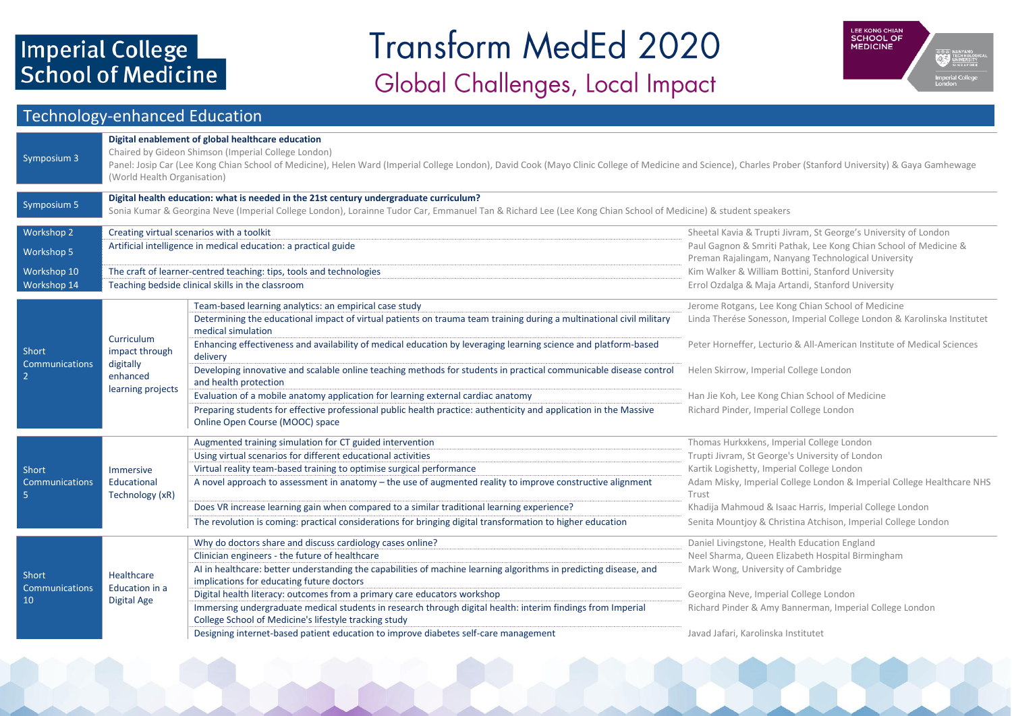# Imperial College<br>School of Medicine

## **Transform MedEd 2020** Global Challenges, Local Impact



### Technology-enhanced Education

| Symposium 3                | Digital enablement of global healthcare education<br>Chaired by Gideon Shimson (Imperial College London)<br>Panel: Josip Car (Lee Kong Chian School of Medicine), Helen Ward (Imperial College London), David Cook (Mayo Clinic College of Medicine and Science), Charles Prober (Stanford University) & Gaya Gamhewage<br>(World Health Organisation) |                                                                                                                                                                      |                                                                                                                         |  |  |  |  |
|----------------------------|--------------------------------------------------------------------------------------------------------------------------------------------------------------------------------------------------------------------------------------------------------------------------------------------------------------------------------------------------------|----------------------------------------------------------------------------------------------------------------------------------------------------------------------|-------------------------------------------------------------------------------------------------------------------------|--|--|--|--|
| Symposium 5                | Digital health education: what is needed in the 21st century undergraduate curriculum?<br>Sonia Kumar & Georgina Neve (Imperial College London), Lorainne Tudor Car, Emmanuel Tan & Richard Lee (Lee Kong Chian School of Medicine) & student speakers                                                                                                 |                                                                                                                                                                      |                                                                                                                         |  |  |  |  |
| Workshop 2                 |                                                                                                                                                                                                                                                                                                                                                        | Creating virtual scenarios with a toolkit                                                                                                                            | Sheetal Kavia & Trupti Jivram, St George's University of London                                                         |  |  |  |  |
| Workshop 5                 |                                                                                                                                                                                                                                                                                                                                                        | Artificial intelligence in medical education: a practical guide                                                                                                      | Paul Gagnon & Smriti Pathak, Lee Kong Chian School of Medicine &<br>Preman Rajalingam, Nanyang Technological University |  |  |  |  |
| Workshop 10                |                                                                                                                                                                                                                                                                                                                                                        | The craft of learner-centred teaching: tips, tools and technologies                                                                                                  | Kim Walker & William Bottini, Stanford University                                                                       |  |  |  |  |
| Workshop 14                |                                                                                                                                                                                                                                                                                                                                                        | Teaching bedside clinical skills in the classroom                                                                                                                    | Errol Ozdalga & Maja Artandi, Stanford University                                                                       |  |  |  |  |
|                            |                                                                                                                                                                                                                                                                                                                                                        | Team-based learning analytics: an empirical case study                                                                                                               | Jerome Rotgans, Lee Kong Chian School of Medicine                                                                       |  |  |  |  |
|                            | Curriculum<br>impact through<br>digitally<br>enhanced<br>learning projects                                                                                                                                                                                                                                                                             | Determining the educational impact of virtual patients on trauma team training during a multinational civil military<br>medical simulation                           | Linda Therése Sonesson, Imperial College London & Karolinska Institutet                                                 |  |  |  |  |
| Short<br>Communications    |                                                                                                                                                                                                                                                                                                                                                        | Enhancing effectiveness and availability of medical education by leveraging learning science and platform-based<br>delivery                                          | Peter Horneffer, Lecturio & All-American Institute of Medical Sciences                                                  |  |  |  |  |
| -2                         |                                                                                                                                                                                                                                                                                                                                                        | Developing innovative and scalable online teaching methods for students in practical communicable disease control<br>and health protection                           | Helen Skirrow, Imperial College London                                                                                  |  |  |  |  |
|                            |                                                                                                                                                                                                                                                                                                                                                        | Evaluation of a mobile anatomy application for learning external cardiac anatomy                                                                                     | Han Jie Koh, Lee Kong Chian School of Medicine                                                                          |  |  |  |  |
|                            |                                                                                                                                                                                                                                                                                                                                                        | Preparing students for effective professional public health practice: authenticity and application in the Massive<br>Online Open Course (MOOC) space                 | Richard Pinder, Imperial College London                                                                                 |  |  |  |  |
|                            |                                                                                                                                                                                                                                                                                                                                                        | Augmented training simulation for CT guided intervention                                                                                                             | Thomas Hurkxkens, Imperial College London                                                                               |  |  |  |  |
|                            |                                                                                                                                                                                                                                                                                                                                                        | Using virtual scenarios for different educational activities                                                                                                         | Trupti Jivram, St George's University of London                                                                         |  |  |  |  |
| Short                      | Immersive                                                                                                                                                                                                                                                                                                                                              | Virtual reality team-based training to optimise surgical performance                                                                                                 | Kartik Logishetty, Imperial College London                                                                              |  |  |  |  |
| <b>Communications</b><br>5 | Educational<br>Technology (xR)                                                                                                                                                                                                                                                                                                                         | A novel approach to assessment in anatomy - the use of augmented reality to improve constructive alignment                                                           | Adam Misky, Imperial College London & Imperial College Healthcare NHS<br>Trust                                          |  |  |  |  |
|                            |                                                                                                                                                                                                                                                                                                                                                        | Does VR increase learning gain when compared to a similar traditional learning experience?                                                                           | Khadija Mahmoud & Isaac Harris, Imperial College London                                                                 |  |  |  |  |
|                            |                                                                                                                                                                                                                                                                                                                                                        | The revolution is coming: practical considerations for bringing digital transformation to higher education                                                           | Senita Mountjoy & Christina Atchison, Imperial College London                                                           |  |  |  |  |
|                            |                                                                                                                                                                                                                                                                                                                                                        | Why do doctors share and discuss cardiology cases online?                                                                                                            | Daniel Livingstone, Health Education England                                                                            |  |  |  |  |
|                            |                                                                                                                                                                                                                                                                                                                                                        | Clinician engineers - the future of healthcare                                                                                                                       | Neel Sharma, Queen Elizabeth Hospital Birmingham                                                                        |  |  |  |  |
| Short<br>Communications    | Healthcare<br>Education in a                                                                                                                                                                                                                                                                                                                           | AI in healthcare: better understanding the capabilities of machine learning algorithms in predicting disease, and<br>implications for educating future doctors       | Mark Wong, University of Cambridge                                                                                      |  |  |  |  |
| 10                         | <b>Digital Age</b>                                                                                                                                                                                                                                                                                                                                     | Digital health literacy: outcomes from a primary care educators workshop                                                                                             | Georgina Neve, Imperial College London                                                                                  |  |  |  |  |
|                            |                                                                                                                                                                                                                                                                                                                                                        | Immersing undergraduate medical students in research through digital health: interim findings from Imperial<br>College School of Medicine's lifestyle tracking study | Richard Pinder & Amy Bannerman, Imperial College London                                                                 |  |  |  |  |
|                            |                                                                                                                                                                                                                                                                                                                                                        | Designing internet-based patient education to improve diabetes self-care management                                                                                  | Javad Jafari, Karolinska Institutet                                                                                     |  |  |  |  |